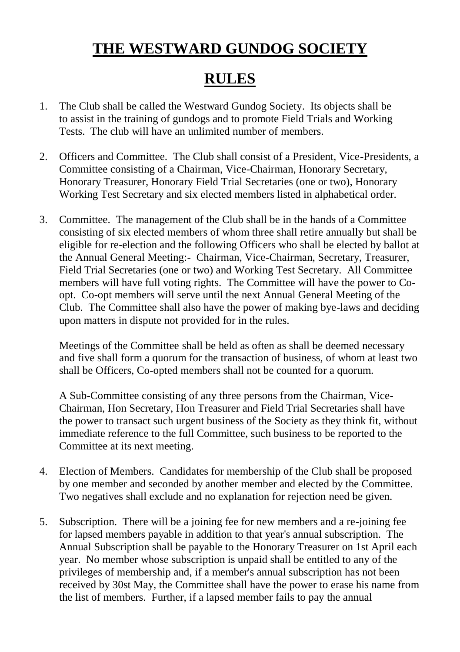## **THE WESTWARD GUNDOG SOCIETY**

## **RULES**

- 1. The Club shall be called the Westward Gundog Society. Its objects shall be to assist in the training of gundogs and to promote Field Trials and Working Tests. The club will have an unlimited number of members.
- 2. Officers and Committee. The Club shall consist of a President, Vice-Presidents, a Committee consisting of a Chairman, Vice-Chairman, Honorary Secretary, Honorary Treasurer, Honorary Field Trial Secretaries (one or two), Honorary Working Test Secretary and six elected members listed in alphabetical order.
- 3. Committee. The management of the Club shall be in the hands of a Committee consisting of six elected members of whom three shall retire annually but shall be eligible for re-election and the following Officers who shall be elected by ballot at the Annual General Meeting:- Chairman, Vice-Chairman, Secretary, Treasurer, Field Trial Secretaries (one or two) and Working Test Secretary. All Committee members will have full voting rights. The Committee will have the power to Coopt. Co-opt members will serve until the next Annual General Meeting of the Club. The Committee shall also have the power of making bye-laws and deciding upon matters in dispute not provided for in the rules.

Meetings of the Committee shall be held as often as shall be deemed necessary and five shall form a quorum for the transaction of business, of whom at least two shall be Officers, Co-opted members shall not be counted for a quorum.

A Sub-Committee consisting of any three persons from the Chairman, Vice-Chairman, Hon Secretary, Hon Treasurer and Field Trial Secretaries shall have the power to transact such urgent business of the Society as they think fit, without immediate reference to the full Committee, such business to be reported to the Committee at its next meeting.

- 4. Election of Members. Candidates for membership of the Club shall be proposed by one member and seconded by another member and elected by the Committee. Two negatives shall exclude and no explanation for rejection need be given.
- 5. Subscription. There will be a joining fee for new members and a re-joining fee for lapsed members payable in addition to that year's annual subscription. The Annual Subscription shall be payable to the Honorary Treasurer on 1st April each year. No member whose subscription is unpaid shall be entitled to any of the privileges of membership and, if a member's annual subscription has not been received by 30st May, the Committee shall have the power to erase his name from the list of members. Further, if a lapsed member fails to pay the annual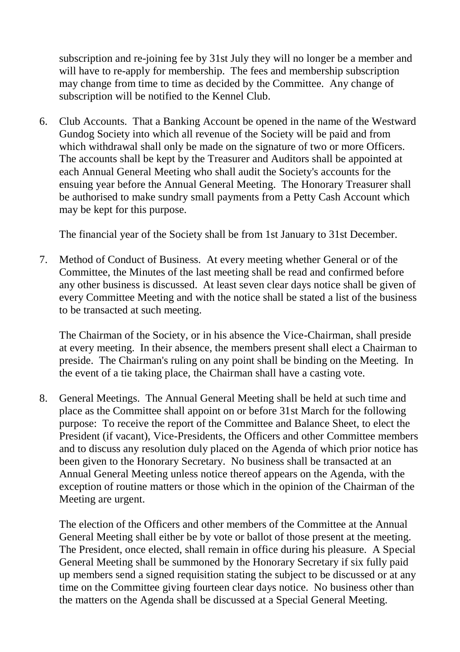subscription and re-joining fee by 31st July they will no longer be a member and will have to re-apply for membership. The fees and membership subscription may change from time to time as decided by the Committee. Any change of subscription will be notified to the Kennel Club.

6. Club Accounts. That a Banking Account be opened in the name of the Westward Gundog Society into which all revenue of the Society will be paid and from which withdrawal shall only be made on the signature of two or more Officers. The accounts shall be kept by the Treasurer and Auditors shall be appointed at each Annual General Meeting who shall audit the Society's accounts for the ensuing year before the Annual General Meeting. The Honorary Treasurer shall be authorised to make sundry small payments from a Petty Cash Account which may be kept for this purpose.

The financial year of the Society shall be from 1st January to 31st December.

7. Method of Conduct of Business. At every meeting whether General or of the Committee, the Minutes of the last meeting shall be read and confirmed before any other business is discussed. At least seven clear days notice shall be given of every Committee Meeting and with the notice shall be stated a list of the business to be transacted at such meeting.

The Chairman of the Society, or in his absence the Vice-Chairman, shall preside at every meeting. In their absence, the members present shall elect a Chairman to preside. The Chairman's ruling on any point shall be binding on the Meeting. In the event of a tie taking place, the Chairman shall have a casting vote.

8. General Meetings. The Annual General Meeting shall be held at such time and place as the Committee shall appoint on or before 31st March for the following purpose: To receive the report of the Committee and Balance Sheet, to elect the President (if vacant), Vice-Presidents, the Officers and other Committee members and to discuss any resolution duly placed on the Agenda of which prior notice has been given to the Honorary Secretary. No business shall be transacted at an Annual General Meeting unless notice thereof appears on the Agenda, with the exception of routine matters or those which in the opinion of the Chairman of the Meeting are urgent.

The election of the Officers and other members of the Committee at the Annual General Meeting shall either be by vote or ballot of those present at the meeting. The President, once elected, shall remain in office during his pleasure. A Special General Meeting shall be summoned by the Honorary Secretary if six fully paid up members send a signed requisition stating the subject to be discussed or at any time on the Committee giving fourteen clear days notice. No business other than the matters on the Agenda shall be discussed at a Special General Meeting.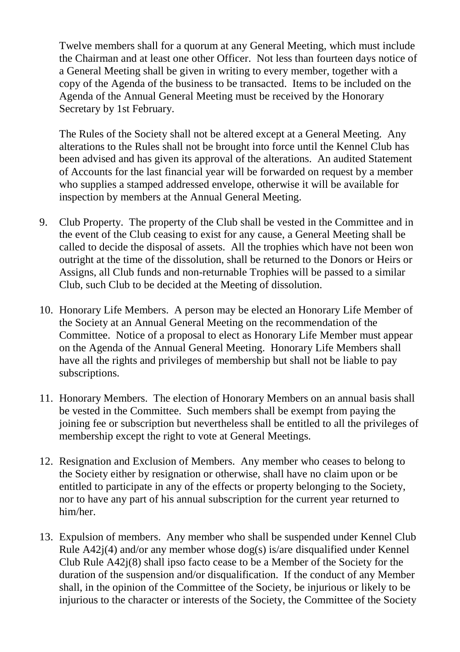Twelve members shall for a quorum at any General Meeting, which must include the Chairman and at least one other Officer. Not less than fourteen days notice of a General Meeting shall be given in writing to every member, together with a copy of the Agenda of the business to be transacted. Items to be included on the Agenda of the Annual General Meeting must be received by the Honorary Secretary by 1st February.

The Rules of the Society shall not be altered except at a General Meeting. Any alterations to the Rules shall not be brought into force until the Kennel Club has been advised and has given its approval of the alterations. An audited Statement of Accounts for the last financial year will be forwarded on request by a member who supplies a stamped addressed envelope, otherwise it will be available for inspection by members at the Annual General Meeting.

- 9. Club Property. The property of the Club shall be vested in the Committee and in the event of the Club ceasing to exist for any cause, a General Meeting shall be called to decide the disposal of assets. All the trophies which have not been won outright at the time of the dissolution, shall be returned to the Donors or Heirs or Assigns, all Club funds and non-returnable Trophies will be passed to a similar Club, such Club to be decided at the Meeting of dissolution.
- 10. Honorary Life Members. A person may be elected an Honorary Life Member of the Society at an Annual General Meeting on the recommendation of the Committee. Notice of a proposal to elect as Honorary Life Member must appear on the Agenda of the Annual General Meeting. Honorary Life Members shall have all the rights and privileges of membership but shall not be liable to pay subscriptions.
- 11. Honorary Members. The election of Honorary Members on an annual basis shall be vested in the Committee. Such members shall be exempt from paying the joining fee or subscription but nevertheless shall be entitled to all the privileges of membership except the right to vote at General Meetings.
- 12. Resignation and Exclusion of Members. Any member who ceases to belong to the Society either by resignation or otherwise, shall have no claim upon or be entitled to participate in any of the effects or property belonging to the Society, nor to have any part of his annual subscription for the current year returned to him/her.
- 13. Expulsion of members. Any member who shall be suspended under Kennel Club Rule A42j(4) and/or any member whose dog(s) is/are disqualified under Kennel Club Rule A42j(8) shall ipso facto cease to be a Member of the Society for the duration of the suspension and/or disqualification. If the conduct of any Member shall, in the opinion of the Committee of the Society, be injurious or likely to be injurious to the character or interests of the Society, the Committee of the Society